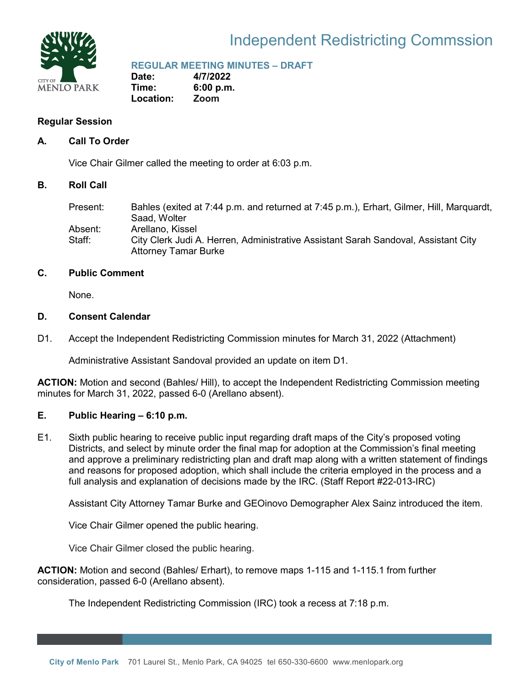

# Independent Redistricting Commssion

**REGULAR MEETING MINUTES – DRAFT**

**Date: 4/7/2022 Time: 6:00 p.m. Location: Zoom**

# **Regular Session**

### **A. Call To Order**

Vice Chair Gilmer called the meeting to order at 6:03 p.m.

#### **B. Roll Call**

| Present: | Bahles (exited at 7:44 p.m. and returned at 7:45 p.m.), Erhart, Gilmer, Hill, Marquardt, |
|----------|------------------------------------------------------------------------------------------|
|          | Saad, Wolter                                                                             |
| Absent:  | Arellano, Kissel                                                                         |
| Staff:   | City Clerk Judi A. Herren, Administrative Assistant Sarah Sandoval, Assistant City       |
|          | <b>Attorney Tamar Burke</b>                                                              |

## **C. Public Comment**

None.

#### **D. Consent Calendar**

D1. Accept the Independent Redistricting Commission minutes for March 31, 2022 (Attachment)

Administrative Assistant Sandoval provided an update on item D1.

**ACTION:** Motion and second (Bahles/ Hill), to accept the Independent Redistricting Commission meeting minutes for March 31, 2022, passed 6-0 (Arellano absent).

# **E. Public Hearing – 6:10 p.m.**

E1. Sixth public hearing to receive public input regarding draft maps of the City's proposed voting Districts, and select by minute order the final map for adoption at the Commission's final meeting and approve a preliminary redistricting plan and draft map along with a written statement of findings and reasons for proposed adoption, which shall include the criteria employed in the process and a full analysis and explanation of decisions made by the IRC. (Staff Report #22-013-IRC)

Assistant City Attorney Tamar Burke and GEOinovo Demographer Alex Sainz introduced the item.

Vice Chair Gilmer opened the public hearing.

Vice Chair Gilmer closed the public hearing.

**ACTION:** Motion and second (Bahles/ Erhart), to remove maps 1-115 and 1-115.1 from further consideration, passed 6-0 (Arellano absent).

The Independent Redistricting Commission (IRC) took a recess at 7:18 p.m.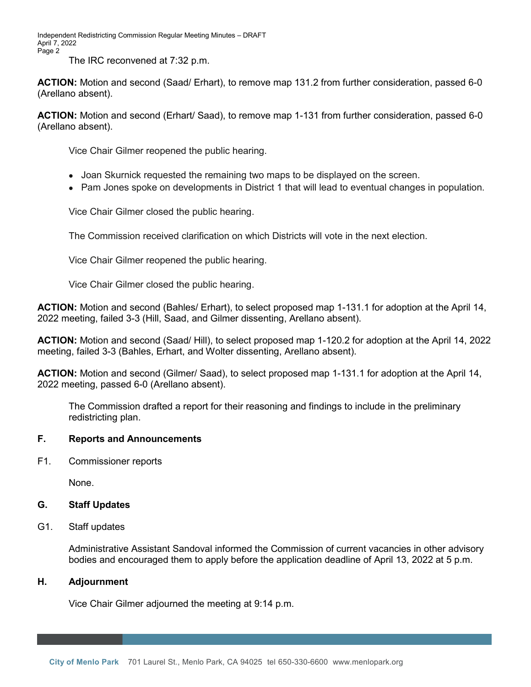Independent Redistricting Commission Regular Meeting Minutes – DRAFT April 7, 2022 Page 2

The IRC reconvened at 7:32 p.m.

**ACTION:** Motion and second (Saad/ Erhart), to remove map 131.2 from further consideration, passed 6-0 (Arellano absent).

**ACTION:** Motion and second (Erhart/ Saad), to remove map 1-131 from further consideration, passed 6-0 (Arellano absent).

Vice Chair Gilmer reopened the public hearing.

- Joan Skurnick requested the remaining two maps to be displayed on the screen.
- Pam Jones spoke on developments in District 1 that will lead to eventual changes in population.

Vice Chair Gilmer closed the public hearing.

The Commission received clarification on which Districts will vote in the next election.

Vice Chair Gilmer reopened the public hearing.

Vice Chair Gilmer closed the public hearing.

**ACTION:** Motion and second (Bahles/ Erhart), to select proposed map 1-131.1 for adoption at the April 14, 2022 meeting, failed 3-3 (Hill, Saad, and Gilmer dissenting, Arellano absent).

**ACTION:** Motion and second (Saad/ Hill), to select proposed map 1-120.2 for adoption at the April 14, 2022 meeting, failed 3-3 (Bahles, Erhart, and Wolter dissenting, Arellano absent).

**ACTION:** Motion and second (Gilmer/ Saad), to select proposed map 1-131.1 for adoption at the April 14, 2022 meeting, passed 6-0 (Arellano absent).

The Commission drafted a report for their reasoning and findings to include in the preliminary redistricting plan.

## **F. Reports and Announcements**

F1. Commissioner reports

None.

#### **G. Staff Updates**

G1. Staff updates

Administrative Assistant Sandoval informed the Commission of current vacancies in other advisory bodies and encouraged them to apply before the application deadline of April 13, 2022 at 5 p.m.

### **H. Adjournment**

Vice Chair Gilmer adjourned the meeting at 9:14 p.m.